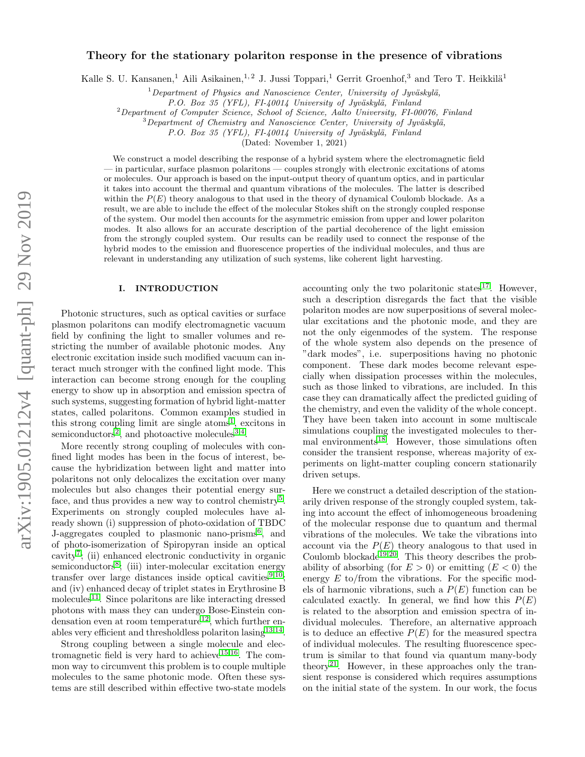# Theory for the stationary polariton response in the presence of vibrations

Kalle S. U. Kansanen,<sup>1</sup> Aili Asikainen,<sup>1, 2</sup> J. Jussi Toppari,<sup>1</sup> Gerrit Groenhof,<sup>3</sup> and Tero T. Heikkilä<sup>1</sup>

 $1$ Department of Physics and Nanoscience Center, University of Jyväskylä,

P.O. Box 35 (YFL), FI-40014 University of Jyväskylä, Finland

<sup>2</sup>Department of Computer Science, School of Science, Aalto University, FI-00076, Finland

 $3$ Department of Chemistry and Nanoscience Center, University of Jyväskylä,

P.O. Box 35 (YFL), FI-40014 University of Jyväskylä, Finland

(Dated: November 1, 2021)

We construct a model describing the response of a hybrid system where the electromagnetic field — in particular, surface plasmon polaritons — couples strongly with electronic excitations of atoms or molecules. Our approach is based on the input-output theory of quantum optics, and in particular it takes into account the thermal and quantum vibrations of the molecules. The latter is described within the  $P(E)$  theory analogous to that used in the theory of dynamical Coulomb blockade. As a result, we are able to include the effect of the molecular Stokes shift on the strongly coupled response of the system. Our model then accounts for the asymmetric emission from upper and lower polariton modes. It also allows for an accurate description of the partial decoherence of the light emission from the strongly coupled system. Our results can be readily used to connect the response of the hybrid modes to the emission and fluorescence properties of the individual molecules, and thus are relevant in understanding any utilization of such systems, like coherent light harvesting.

# I. INTRODUCTION

Photonic structures, such as optical cavities or surface plasmon polaritons can modify electromagnetic vacuum field by confining the light to smaller volumes and restricting the number of available photonic modes. Any electronic excitation inside such modified vacuum can interact much stronger with the confined light mode. This interaction can become strong enough for the coupling energy to show up in absorption and emission spectra of such systems, suggesting formation of hybrid light-matter states, called polaritons. Common examples studied in this strong coupling limit are single atoms<sup>[1](#page-11-0)</sup>, excitons in semiconductors<sup>[2](#page-11-1)</sup>, and photoactive molecules<sup>[3,](#page-11-2)[4](#page-11-3)</sup>.

More recently strong coupling of molecules with confined light modes has been in the focus of interest, because the hybridization between light and matter into polaritons not only delocalizes the excitation over many molecules but also changes their potential energy sur-face, and thus provides a new way to control chemistry<sup>[5](#page-11-4)</sup>. Experiments on strongly coupled molecules have already shown (i) suppression of photo-oxidation of TBDC J-aggregates coupled to plasmonic nano-prisms<sup>[6](#page-11-5)</sup>, and of photo-isomerization of Spiropyran inside an optical cavity[7](#page-11-6) ; (ii) enhanced electronic conductivity in organic semiconductors<sup>[8](#page-11-7)</sup>; (iii) inter-molecular excitation energy transfer over large distances inside optical cavities $9,10$  $9,10$ ; and (iv) enhanced decay of triplet states in Erythrosine B molecules<sup>[11](#page-12-0)</sup>. Since polaritons are like interacting dressed photons with mass they can undergo Bose-Einstein con-densation even at room temperature<sup>[12](#page-12-1)</sup>, which further enables very efficient and thresholdless polariton  $\text{lasing}^{13,14}$  $\text{lasing}^{13,14}$  $\text{lasing}^{13,14}$  $\text{lasing}^{13,14}$ .

Strong coupling between a single molecule and elec-tromagnetic field is very hard to achieve<sup>[15,](#page-12-4)[16](#page-12-5)</sup>. The common way to circumvent this problem is to couple multiple molecules to the same photonic mode. Often these systems are still described within effective two-state models

accounting only the two polaritonic states<sup>[17](#page-12-6)</sup>. However, such a description disregards the fact that the visible polariton modes are now superpositions of several molecular excitations and the photonic mode, and they are not the only eigenmodes of the system. The response of the whole system also depends on the presence of "dark modes", i.e. superpositions having no photonic component. These dark modes become relevant especially when dissipation processes within the molecules, such as those linked to vibrations, are included. In this case they can dramatically affect the predicted guiding of the chemistry, and even the validity of the whole concept. They have been taken into account in some multiscale simulations coupling the investigated molecules to ther-mal environments<sup>[18](#page-12-7)</sup>. However, those simulations often consider the transient response, whereas majority of experiments on light-matter coupling concern stationarily driven setups.

Here we construct a detailed description of the stationarily driven response of the strongly coupled system, taking into account the effect of inhomogeneous broadening of the molecular response due to quantum and thermal vibrations of the molecules. We take the vibrations into account via the  $P(E)$  theory analogous to that used in Coulomb blockade<sup>[19](#page-12-8)[,20](#page-12-9)</sup>. This theory describes the probability of absorbing (for  $E > 0$ ) or emitting  $(E < 0)$  the energy  $E$  to/from the vibrations. For the specific models of harmonic vibrations, such a  $P(E)$  function can be calculated exactly. In general, we find how this  $P(E)$ is related to the absorption and emission spectra of individual molecules. Therefore, an alternative approach is to deduce an effective  $P(E)$  for the measured spectra of individual molecules. The resulting fluorescence spectrum is similar to that found via quantum many-body theory<sup>[21](#page-12-10)</sup>. However, in these approaches only the transient response is considered which requires assumptions on the initial state of the system. In our work, the focus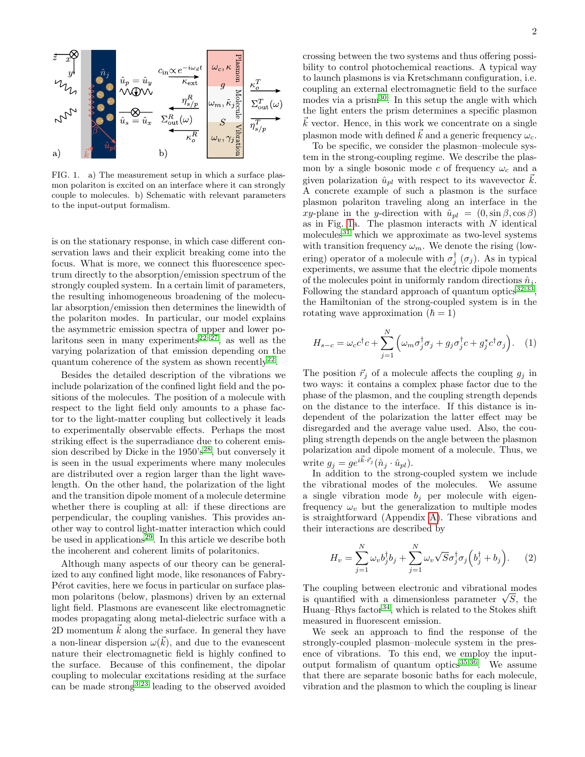

<span id="page-1-0"></span>FIG. 1. a) The measurement setup in which a surface plasmon polariton is excited on an interface where it can strongly couple to molecules. b) Schematic with relevant parameters to the input-output formalism.

is on the stationary response, in which case different conservation laws and their explicit breaking come into the focus. What is more, we connect this fluorescence spectrum directly to the absorption/emission spectrum of the strongly coupled system. In a certain limit of parameters, the resulting inhomogeneous broadening of the molecular absorption/emission then determines the linewidth of the polariton modes. In particular, our model explains the asymmetric emission spectra of upper and lower po-laritons seen in many experiments<sup>[22](#page-12-11)[–27](#page-12-12)</sup>, as well as the varying polarization of that emission depending on the quantum coherence of the system as shown recently<sup>[22](#page-12-11)</sup>.

Besides the detailed description of the vibrations we include polarization of the confined light field and the positions of the molecules. The position of a molecule with respect to the light field only amounts to a phase factor to the light-matter coupling but collectively it leads to experimentally observable effects. Perhaps the most striking effect is the superradiance due to coherent emission described by Dicke in the  $1950's^{28}$  $1950's^{28}$  $1950's^{28}$ , but conversely it is seen in the usual experiments where many molecules are distributed over a region larger than the light wavelength. On the other hand, the polarization of the light and the transition dipole moment of a molecule determine whether there is coupling at all: if these directions are perpendicular, the coupling vanishes. This provides another way to control light-matter interaction which could be used in applications<sup>[29](#page-12-14)</sup>. In this article we describe both the incoherent and coherent limits of polaritonics.

Although many aspects of our theory can be generalized to any confined light mode, like resonances of Fabry-P<sub>e</sub> erot cavities, here we focus in particular on surface plasmon polaritons (below, plasmons) driven by an external light field. Plasmons are evanescent like electromagnetic modes propagating along metal-dielectric surface with a 2D momentum  $\vec{k}$  along the surface. In general they have a non-linear dispersion  $\omega(\vec{k})$ , and due to the evanescent nature their electromagnetic field is highly confined to the surface. Because of this confinement, the dipolar coupling to molecular excitations residing at the surface can be made strong<sup>[3](#page-11-2)[,23](#page-12-15)</sup> leading to the observed avoided

crossing between the two systems and thus offering possibility to control photochemical reactions. A typical way to launch plasmons is via Kretschmann configuration, i.e. coupling an external electromagnetic field to the surface modes via a prism<sup>[30](#page-12-16)</sup>. In this setup the angle with which the light enters the prism determines a specific plasmon  $\vec{k}$  vector. Hence, in this work we concentrate on a single plasmon mode with defined  $\vec{k}$  and a generic frequency  $\omega_c$ .

To be specific, we consider the plasmon–molecule system in the strong-coupling regime. We describe the plasmon by a single bosonic mode c of frequency  $\omega_c$  and a given polarization  $\hat{u}_{pl}$  with respect to its wavevector  $k$ . A concrete example of such a plasmon is the surface plasmon polariton traveling along an interface in the xy-plane in the y-direction with  $\hat{u}_{pl} = (0, \sin \beta, \cos \beta)$ as in Fig. [1a](#page-1-0). The plasmon interacts with  $N$  identical molecules<sup>[31](#page-12-17)</sup> which we approximate as two-level systems with transition frequency  $\omega_m$ . We denote the rising (lowering) operator of a molecule with  $\sigma_j^{\dagger}(\sigma_j)$ . As in typical experiments, we assume that the electric dipole moments of the molecules point in uniformly random directions  $\hat{n}_i$ . Following the standard approach of quantum optics  $(32,33)$  $(32,33)$  $(32,33)$  $(32,33)$ , the Hamiltonian of the strong-coupled system is in the rotating wave approximation  $(\hbar = 1)$ 

$$
H_{s-c} = \omega_c c^{\dagger} c + \sum_{j=1}^{N} \left( \omega_m \sigma_j^{\dagger} \sigma_j + g_j \sigma_j^{\dagger} c + g_j^* c^{\dagger} \sigma_j \right). \tag{1}
$$

The position  $\vec{r}_j$  of a molecule affects the coupling  $g_j$  in two ways: it contains a complex phase factor due to the phase of the plasmon, and the coupling strength depends on the distance to the interface. If this distance is independent of the polarization the latter effect may be disregarded and the average value used. Also, the coupling strength depends on the angle between the plasmon polarization and dipole moment of a molecule. Thus, we write  $g_j = g e^{i\vec{k}\cdot\vec{r}_j} (\hat{n}_j \cdot \hat{u}_{pl}).$ 

In addition to the strong-coupled system we include the vibrational modes of the molecules. We assume a single vibration mode  $b_i$  per molecule with eigenfrequency  $\omega_v$  but the generalization to multiple modes is straightforward (Appendix [A\)](#page-9-0). These vibrations and their interactions are described by

$$
H_v = \sum_{j=1}^{N} \omega_v b_j^{\dagger} b_j + \sum_{j=1}^{N} \omega_v \sqrt{S} \sigma_j^{\dagger} \sigma_j \left( b_j^{\dagger} + b_j \right). \tag{2}
$$

The coupling between electronic and vibrational modes The coupling between electronic and vibrational modes<br>is quantified with a dimensionless parameter  $\sqrt{S}$ , the Huang–Rhys factor<sup>[34](#page-12-20)</sup>, which is related to the Stokes shift measured in fluorescent emission.

We seek an approach to find the response of the strongly-coupled plasmon–molecule system in the presence of vibrations. To this end, we employ the inputoutput formalism of quantum optics $35,36$  $35,36$ . We assume that there are separate bosonic baths for each molecule, vibration and the plasmon to which the coupling is linear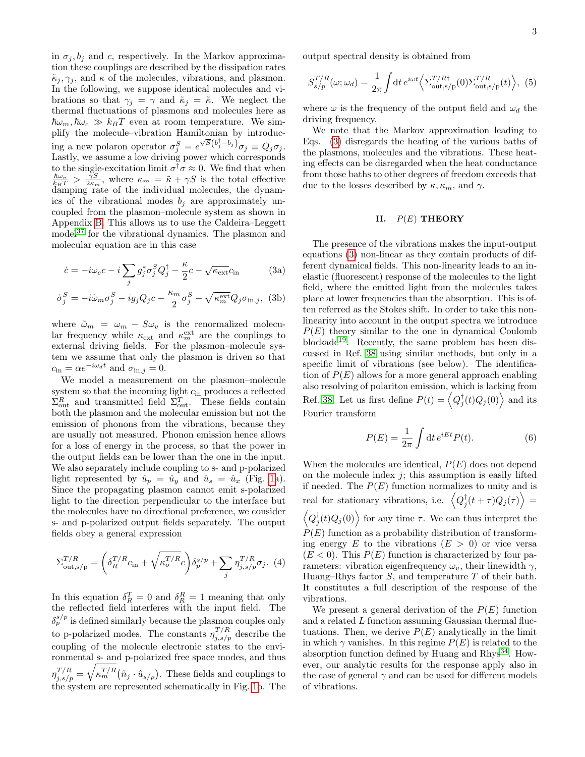in  $\sigma_j, b_j$  and c, respectively. In the Markov approximation these couplings are described by the dissipation rates  $\tilde{\kappa}_j, \gamma_j$ , and  $\kappa$  of the molecules, vibrations, and plasmon. In the following, we suppose identical molecules and vibrations so that  $\gamma_j = \gamma$  and  $\tilde{\kappa}_j = \tilde{\kappa}$ . We neglect the thermal fluctuations of plasmons and molecules here as  $\hbar\omega_m$ ,  $\hbar\omega_c \gg k_BT$  even at room temperature. We simplify the molecule–vibration Hamiltonian by introducing a new polaron operator  $\sigma_j^S = e^{\sqrt{S}(\overline{b}_j^{\dagger}-\overline{b}_j)}\sigma_j \equiv Q_j\sigma_j$ . Lastly, we assume a low driving power which corresponds to the single-excitation limit  $\sigma^{\dagger} \sigma \approx 0$ . We find that when  $\frac{\hbar\omega_v}{k_BT} > \frac{\gamma_S}{2\kappa_m}$ , where  $\kappa_m = \tilde{\kappa} + \gamma S$  is the total effective damping rate of the individual molecules, the dynamics of the vibrational modes  $b_j$  are approximately uncoupled from the plasmon–molecule system as shown in Appendix [B.](#page-10-0) This allows us to use the Caldeira–Leggett model<sup>[37](#page-12-23)</sup> for the vibrational dynamics. The plasmon and molecular equation are in this case

$$
\dot{c} = -i\omega_c c - i \sum_j g_j^* \sigma_j^S Q_j^{\dagger} - \frac{\kappa}{2} c - \sqrt{\kappa_{\text{ext}}} c_{\text{in}} \tag{3a}
$$

$$
\dot{\sigma}_j^S = -i\tilde{\omega}_m \sigma_j^S - ig_j Q_j c - \frac{\kappa_m}{2} \sigma_j^S - \sqrt{\kappa_m^{\text{ext}}} Q_j \sigma_{\text{in},j}, \text{ (3b)}
$$

where  $\tilde{\omega}_m = \omega_m - S \omega_v$  is the renormalized molecular frequency while  $\kappa_{\text{ext}}$  and  $\kappa_m^{\text{ext}}$  are the couplings to external driving fields. For the plasmon–molecule system we assume that only the plasmon is driven so that  $c_{\rm in} = \alpha e^{-i\omega_d t}$  and  $\sigma_{\rm in, j} = 0$ .

We model a measurement on the plasmon–molecule system so that the incoming light  $c_{\text{in}}$  produces a reflected  $\Sigma_{\text{out}}^R$  and transmitted field  $\Sigma_{\text{out}}^T$ . These fields contain both the plasmon and the molecular emission but not the emission of phonons from the vibrations, because they are usually not measured. Phonon emission hence allows for a loss of energy in the process, so that the power in the output fields can be lower than the one in the input. We also separately include coupling to s- and p-polarized light represented by  $\hat{u}_p = \hat{u}_y$  and  $\hat{u}_s = \hat{u}_x$  (Fig. [1a](#page-1-0)). Since the propagating plasmon cannot emit s-polarized light to the direction perpendicular to the interface but the molecules have no directional preference, we consider s- and p-polarized output fields separately. The output fields obey a general expression

<span id="page-2-5"></span>
$$
\Sigma_{\text{out},s/p}^{T/R} = \left(\delta_R^{T/R} c_{\text{in}} + \sqrt{\kappa_o^{T/R}} c\right) \delta_p^{s/p} + \sum_j \eta_{j,s/p}^{T/R} \sigma_j. \tag{4}
$$

In this equation  $\delta_R^T = 0$  and  $\delta_R^R = 1$  meaning that only the reflected field interferes with the input field. The  $\delta_p^{s/p}$  is defined similarly because the plasmon couples only to p-polarized modes. The constants  $\eta_{j,s/p}^{T/R}$  describe the coupling of the molecule electronic states to the environmental s- and p-polarized free space modes, and thus  $\eta_{j,s/p}^{T/R} = \sqrt{\kappa_m^{T/R}} (\hat{n}_j \cdot \hat{u}_{s/p}).$  These fields and couplings to the system are represented schematically in Fig. [1b](#page-1-0). The output spectral density is obtained from

<span id="page-2-2"></span>
$$
S_{s/p}^{T/R}(\omega; \omega_d) = \frac{1}{2\pi} \int dt \, e^{i\omega t} \left\langle \Sigma_{\text{out},s/p}^{T/R\dagger}(0) \Sigma_{\text{out},s/p}^{T/R}(t) \right\rangle, \tag{5}
$$

where  $\omega$  is the frequency of the output field and  $\omega_d$  the driving frequency.

We note that the Markov approximation leading to Eqs. [\(3\)](#page-2-0) disregards the heating of the various baths of the plasmons, molecules and the vibrations. These heating effects can be disregarded when the heat conductance from those baths to other degrees of freedom exceeds that due to the losses described by  $\kappa, \kappa_m$ , and  $\gamma$ .

# <span id="page-2-3"></span>II.  $P(E)$  THEORY

<span id="page-2-4"></span><span id="page-2-1"></span><span id="page-2-0"></span>The presence of the vibrations makes the input-output equations [\(3\)](#page-2-0) non-linear as they contain products of different dynamical fields. This non-linearity leads to an inelastic (fluorescent) response of the molecules to the light field, where the emitted light from the molecules takes place at lower frequencies than the absorption. This is often referred as the Stokes shift. In order to take this nonlinearity into account in the output spectra we introduce  $P(E)$  theory similar to the one in dynamical Coulomb blockade[19](#page-12-8). Recently, the same problem has been discussed in Ref. [38](#page-12-24) using similar methods, but only in a specific limit of vibrations (see below). The identification of  $P(E)$  allows for a more general approach enabling also resolving of polariton emission, which is lacking from Ref. [38.](#page-12-24) Let us first define  $P(t) = \left\langle Q_j^{\dagger}(t)Q_j(0) \right\rangle$  and its Fourier transform

$$
P(E) = \frac{1}{2\pi} \int \mathrm{d}t \, e^{iEt} P(t). \tag{6}
$$

When the molecules are identical,  $P(E)$  does not depend on the molecule index  $j$ ; this assumption is easily lifted if needed. The  $P(E)$  function normalizes to unity and is real for stationary vibrations, i.e.  $\left\langle Q_j^{\dagger}(t+\tau)Q_j(\tau)\right\rangle =$  $\langle Q_j^{\dagger}(t)Q_j(0)\rangle$  for any time  $\tau$ . We can thus interpret the  $P(E)$  function as a probability distribution of transforming energy E to the vibrations  $(E > 0)$  or vice versa  $(E < 0)$ . This  $P(E)$  function is characterized by four parameters: vibration eigenfrequency  $\omega_v$ , their linewidth  $\gamma$ , Huang–Rhys factor  $S$ , and temperature  $T$  of their bath. It constitutes a full description of the response of the vibrations.

We present a general derivation of the  $P(E)$  function and a related  $L$  function assuming Gaussian thermal fluctuations. Then, we derive  $P(E)$  analytically in the limit in which  $\gamma$  vanishes. In this regime  $P(E)$  is related to the absorption function defined by Huang and  $Rhvs^{34}$  $Rhvs^{34}$  $Rhvs^{34}$ . However, our analytic results for the response apply also in the case of general  $\gamma$  and can be used for different models of vibrations.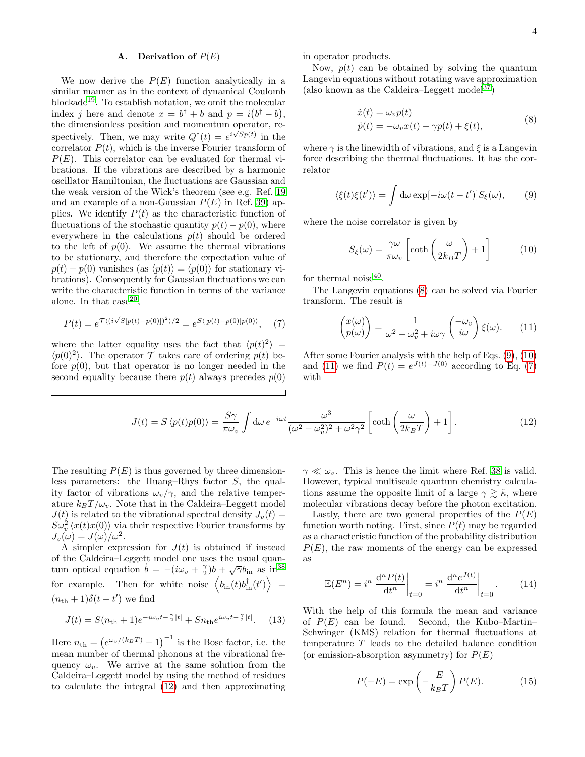# A. Derivation of  $P(E)$

We now derive the  $P(E)$  function analytically in a similar manner as in the context of dynamical Coulomb blockade[19](#page-12-8). To establish notation, we omit the molecular index j here and denote  $x = b^{\dagger} + b$  and  $p = i(b^{\dagger} - b)$ , the dimensionless position and momentum operator, respectively. Then, we may write  $Q^{\dagger}(t) = e^{i\sqrt{S}p(t)}$  in the correlator  $P(t)$ , which is the inverse Fourier transform of  $P(E)$ . This correlator can be evaluated for thermal vibrations. If the vibrations are described by a harmonic oscillator Hamiltonian, the fluctuations are Gaussian and the weak version of the Wick's theorem (see e.g. Ref. [19](#page-12-8) and an example of a non-Gaussian  $P(E)$  in Ref. [39\)](#page-12-25) applies. We identify  $P(t)$  as the characteristic function of fluctuations of the stochastic quantity  $p(t) - p(0)$ , where everywhere in the calculations  $p(t)$  should be ordered to the left of  $p(0)$ . We assume the thermal vibrations to be stationary, and therefore the expectation value of  $p(t) - p(0)$  vanishes (as  $\langle p(t) \rangle = \langle p(0) \rangle$  for stationary vibrations). Consequently for Gaussian fluctuations we can write the characteristic function in terms of the variance alone. In that  $case^{20}$  $case^{20}$  $case^{20}$ ,

<span id="page-3-4"></span>
$$
P(t) = e^{\mathcal{T}\langle (i\sqrt{S}[p(t)-p(0)])^2 \rangle/2} = e^{S\langle [p(t)-p(0)]p(0) \rangle}, \quad (7)
$$

where the latter equality uses the fact that  $\langle p(t)^2 \rangle$  =  $\langle p(0)^2 \rangle$ . The operator T takes care of ordering  $p(t)$  before  $p(0)$ , but that operator is no longer needed in the second equality because there  $p(t)$  always precedes  $p(0)$  in operator products.

Now,  $p(t)$  can be obtained by solving the quantum Langevin equations without rotating wave approximation (also known as the Caldeira–Leggett model<sup>[37](#page-12-23)</sup>)

$$
\begin{aligned} \dot{x}(t) &= \omega_v p(t) \\ \dot{p}(t) &= -\omega_v x(t) - \gamma p(t) + \xi(t), \end{aligned} \tag{8}
$$

<span id="page-3-0"></span>where  $\gamma$  is the linewidth of vibrations, and  $\xi$  is a Langevin force describing the thermal fluctuations. It has the correlator

<span id="page-3-1"></span>
$$
\langle \xi(t)\xi(t')\rangle = \int d\omega \exp[-i\omega(t-t')]S_{\xi}(\omega), \qquad (9)
$$

where the noise correlator is given by

<span id="page-3-2"></span>
$$
S_{\xi}(\omega) = \frac{\gamma \omega}{\pi \omega_v} \left[ \coth\left(\frac{\omega}{2k_B T}\right) + 1 \right] \tag{10}
$$

for thermal noise<sup>[40](#page-12-26)</sup>.

The Langevin equations [\(8\)](#page-3-0) can be solved via Fourier transform. The result is

<span id="page-3-3"></span>
$$
\begin{pmatrix} x(\omega) \\ p(\omega) \end{pmatrix} = \frac{1}{\omega^2 - \omega_v^2 + i\omega\gamma} \begin{pmatrix} -\omega_v \\ i\omega \end{pmatrix} \xi(\omega). \qquad (11)
$$

After some Fourier analysis with the help of Eqs. [\(9\)](#page-3-1), [\(10\)](#page-3-2) and [\(11\)](#page-3-3) we find  $P(t) = e^{J(t)-J(0)}$  according to Eq. [\(7\)](#page-3-4) with

<span id="page-3-5"></span>
$$
J(t) = S \langle p(t)p(0) \rangle = \frac{S\gamma}{\pi \omega_v} \int d\omega \, e^{-i\omega t} \frac{\omega^3}{(\omega^2 - \omega_v^2)^2 + \omega^2 \gamma^2} \left[ \coth\left(\frac{\omega}{2k_B T}\right) + 1 \right]. \tag{12}
$$

The resulting  $P(E)$  is thus governed by three dimensionless parameters: the Huang–Rhys factor S, the quality factor of vibrations  $\omega_v/\gamma$ , and the relative temperature  $k_BT/\omega_v$ . Note that in the Caldeira–Leggett model  $J(t)$  is related to the vibrational spectral density  $J_v(t) =$  $S\omega_v^2\langle x(t)x(0)\rangle$  via their respective Fourier transforms by  $J_v(\omega) = J(\omega)/\omega^2$ .

A simpler expression for  $J(t)$  is obtained if instead of the Caldeira–Leggett model one uses the usual quanof the Caldena–Leggett model one uses the usual quan-<br>tum optical equation  $\dot{b} = -(\dot{i}\omega_v + \frac{\gamma}{2})b + \sqrt{\gamma}b_{\rm in}$  as in<sup>[38](#page-12-24)</sup> for example. Then for white noise  $\langle b_{\text{in}}(t) b_{\text{in}}^{\dagger}(t') \rangle =$  $(n_{\text{th}}+1)\delta(t-t')$  we find

<span id="page-3-6"></span>
$$
J(t) = S(n_{\text{th}} + 1)e^{-i\omega_v t - \frac{\gamma}{2}|t|} + Sn_{\text{th}}e^{i\omega_v t - \frac{\gamma}{2}|t|}.
$$
 (13)

Here  $n_{\text{th}} = (e^{\omega_v/(k_B T)} - 1)^{-1}$  is the Bose factor, i.e. the mean number of thermal phonons at the vibrational frequency  $\omega_v$ . We arrive at the same solution from the Caldeira–Leggett model by using the method of residues to calculate the integral [\(12\)](#page-3-5) and then approximating  $\gamma \ll \omega_v$ . This is hence the limit where Ref. [38](#page-12-24) is valid. However, typical multiscale quantum chemistry calculations assume the opposite limit of a large  $\gamma \gtrsim \tilde{\kappa}$ , where molecular vibrations decay before the photon excitation.

Lastly, there are two general properties of the  $P(E)$ function worth noting. First, since  $P(t)$  may be regarded as a characteristic function of the probability distribution  $P(E)$ , the raw moments of the energy can be expressed as

<span id="page-3-7"></span>
$$
\mathbb{E}(E^n) = i^n \left. \frac{d^n P(t)}{dt^n} \right|_{t=0} = i^n \left. \frac{d^n e^{J(t)}}{dt^n} \right|_{t=0}.
$$
 (14)

With the help of this formula the mean and variance of  $P(E)$  can be found. Second, the Kubo–Martin– Schwinger (KMS) relation for thermal fluctuations at temperature T leads to the detailed balance condition (or emission-absorption asymmetry) for  $P(E)$ 

$$
P(-E) = \exp\left(-\frac{E}{k_B T}\right) P(E). \tag{15}
$$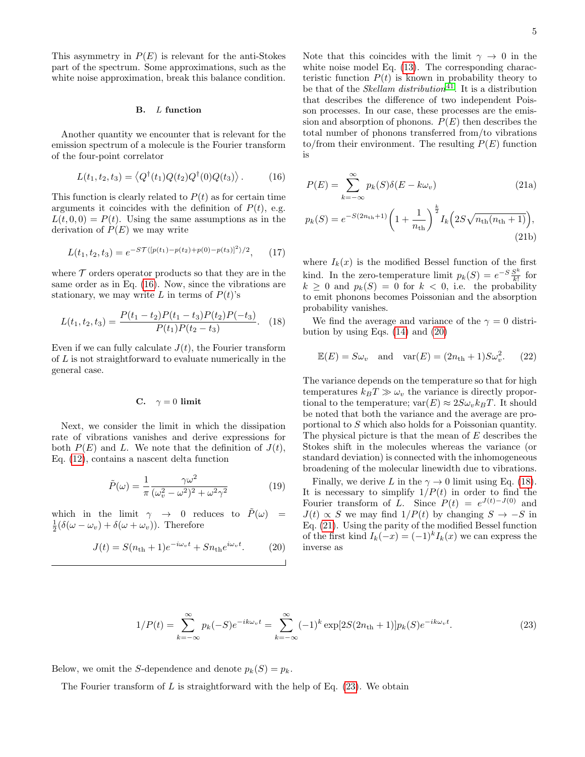This asymmetry in  $P(E)$  is relevant for the anti-Stokes part of the spectrum. Some approximations, such as the white noise approximation, break this balance condition.

#### B. L function

Another quantity we encounter that is relevant for the emission spectrum of a molecule is the Fourier transform of the four-point correlator

<span id="page-4-0"></span>
$$
L(t_1, t_2, t_3) = \langle Q^{\dagger}(t_1) Q(t_2) Q^{\dagger}(0) Q(t_3) \rangle.
$$
 (16)

This function is clearly related to  $P(t)$  as for certain time arguments it coincides with the definition of  $P(t)$ , e.g.  $L(t, 0, 0) = P(t)$ . Using the same assumptions as in the derivation of  $P(E)$  we may write

$$
L(t_1, t_2, t_3) = e^{-ST\langle [p(t_1) - p(t_2) + p(0) - p(t_3)]^2 \rangle / 2}, \qquad (17)
$$

where  $\mathcal T$  orders operator products so that they are in the same order as in Eq. [\(16\)](#page-4-0). Now, since the vibrations are stationary, we may write L in terms of  $P(t)$ 's

<span id="page-4-2"></span>
$$
L(t_1, t_2, t_3) = \frac{P(t_1 - t_2)P(t_1 - t_3)P(t_2)P(-t_3)}{P(t_1)P(t_2 - t_3)}.
$$
 (18)

Even if we can fully calculate  $J(t)$ , the Fourier transform of L is not straightforward to evaluate numerically in the general case.

## C.  $\gamma = 0$  limit

Next, we consider the limit in which the dissipation rate of vibrations vanishes and derive expressions for both  $P(E)$  and L. We note that the definition of  $J(t)$ , Eq. [\(12\)](#page-3-5), contains a nascent delta function

<span id="page-4-5"></span>
$$
\tilde{P}(\omega) = \frac{1}{\pi} \frac{\gamma \omega^2}{(\omega_v^2 - \omega^2)^2 + \omega^2 \gamma^2}
$$
\n(19)

which in the limit  $\gamma \rightarrow 0$  reduces to  $P(\omega)$  =  $\frac{1}{2}(\delta(\omega-\omega_v)+\delta(\omega+\omega_v)).$  Therefore

<span id="page-4-1"></span>
$$
J(t) = S(n_{\rm th} + 1)e^{-i\omega_v t} + Sn_{\rm th}e^{i\omega_v t}.
$$
 (20)

Note that this coincides with the limit  $\gamma \to 0$  in the white noise model Eq.  $(13)$ . The corresponding characteristic function  $P(t)$  is known in probability theory to be that of the *Skellam distribution*<sup>[41](#page-12-27)</sup>. It is a distribution that describes the difference of two independent Poisson processes. In our case, these processes are the emission and absorption of phonons.  $P(E)$  then describes the total number of phonons transferred from/to vibrations to/from their environment. The resulting  $P(E)$  function is

<span id="page-4-3"></span>
$$
P(E) = \sum_{k=-\infty}^{\infty} p_k(S)\delta(E - k\omega_v)
$$
 (21a)

$$
p_k(S) = e^{-S(2n_{\rm th}+1)} \left( 1 + \frac{1}{n_{\rm th}} \right)^{\frac{k}{2}} I_k \left( 2S\sqrt{n_{\rm th}(n_{\rm th}+1)} \right),\tag{21b}
$$

where  $I_k(x)$  is the modified Bessel function of the first kind. In the zero-temperature limit  $p_k(S) = e^{-S} \frac{S^k}{k!}$  $\frac{S^n}{k!}$  for  $k \geq 0$  and  $p_k(S) = 0$  for  $k < 0$ , i.e. the probability to emit phonons becomes Poissonian and the absorption probability vanishes.

We find the average and variance of the  $\gamma = 0$  distribution by using Eqs.  $(14)$  and  $(20)$ 

$$
\mathbb{E}(E) = S\omega_v \quad \text{and} \quad \text{var}(E) = (2n_{\text{th}} + 1)S\omega_v^2. \tag{22}
$$

The variance depends on the temperature so that for high temperatures  $k_BT \gg \omega_v$  the variance is directly proportional to the temperature;  $var(E) \approx 2S\omega_{v}k_{B}T$ . It should be noted that both the variance and the average are proportional to S which also holds for a Poissonian quantity. The physical picture is that the mean of E describes the Stokes shift in the molecules whereas the variance (or standard deviation) is connected with the inhomogeneous broadening of the molecular linewidth due to vibrations.

<span id="page-4-4"></span>Finally, we derive L in the  $\gamma \to 0$  limit using Eq. [\(18\)](#page-4-2). It is necessary to simplify  $1/P(t)$  in order to find the Fourier transform of L. Since  $P(t) = e^{J(t)-J(0)}$  and  $J(t) \propto S$  we may find  $1/P(t)$  by changing  $S \to -S$  in Eq. [\(21\)](#page-4-3). Using the parity of the modified Bessel function of the first kind  $I_k(-x) = (-1)^k I_k(x)$  we can express the inverse as

$$
1/P(t) = \sum_{k=-\infty}^{\infty} p_k(-S)e^{-ik\omega_v t} = \sum_{k=-\infty}^{\infty} (-1)^k \exp[2S(2n_{\text{th}} + 1)]p_k(S)e^{-ik\omega_v t}.
$$
 (23)

Below, we omit the S-dependence and denote  $p_k(S) = p_k$ .

The Fourier transform of  $L$  is straightforward with the help of Eq. [\(23\)](#page-4-4). We obtain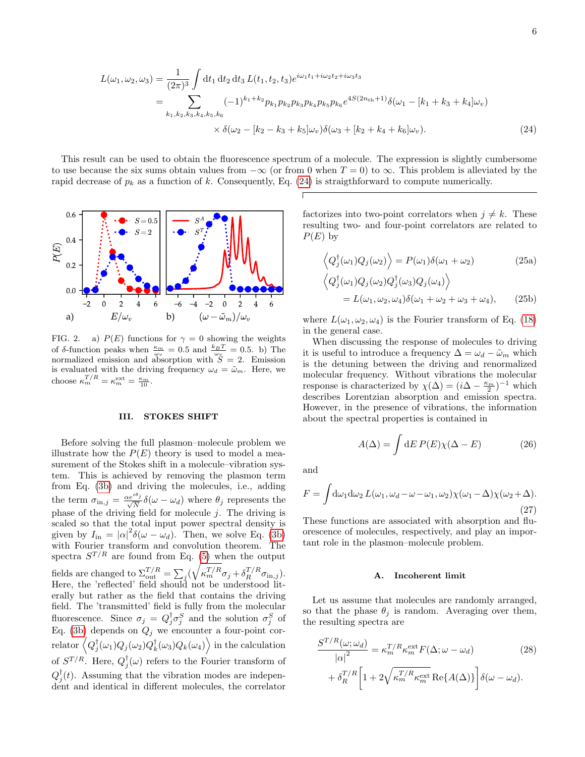$$
L(\omega_1, \omega_2, \omega_3) = \frac{1}{(2\pi)^3} \int dt_1 dt_2 dt_3 L(t_1, t_2, t_3) e^{i\omega_1 t_1 + i\omega_2 t_2 + i\omega_3 t_3}
$$
  
\n
$$
= \sum_{k_1, k_2, k_3, k_4, k_5, k_6} (-1)^{k_1 + k_2} p_{k_1} p_{k_2} p_{k_3} p_{k_4} p_{k_5} p_{k_6} e^{4S(2n_{\text{th}} + 1)} \delta(\omega_1 - [k_1 + k_3 + k_4] \omega_v)
$$
  
\n
$$
\times \delta(\omega_2 - [k_2 - k_3 + k_5] \omega_v) \delta(\omega_3 + [k_2 + k_4 + k_6] \omega_v).
$$
 (24)

This result can be used to obtain the fluorescence spectrum of a molecule. The expression is slightly cumbersome to use because the six sums obtain values from  $-\infty$  (or from 0 when  $T = 0$ ) to  $\infty$ . This problem is alleviated by the rapid decrease of  $p_k$  as a function of k. Consequently, Eq. [\(24\)](#page-5-0) is straigthforward to compute numerically.



<span id="page-5-1"></span>FIG. 2. a)  $P(E)$  functions for  $\gamma = 0$  showing the weights of δ-function peaks when  $\frac{\kappa_m}{\omega_v} = 0.5$  and  $\frac{k_B T}{\omega_v} = 0.5$ . b) The normalized emission and absorption with  $S = 2$ . Emission is evaluated with the driving frequency  $\omega_d = \tilde{\omega}_m$ . Here, we choose  $\kappa_m^{T/R} = \kappa_m^{\text{ext}} = \frac{\kappa_m}{10}$ .

### <span id="page-5-2"></span>III. STOKES SHIFT

Before solving the full plasmon–molecule problem we illustrate how the  $P(E)$  theory is used to model a measurement of the Stokes shift in a molecule–vibration system. This is achieved by removing the plasmon term from Eq. [\(3b\)](#page-2-1) and driving the molecules, i.e., adding the term  $\sigma_{\text{in},j} = \frac{\alpha e^{i\theta_j}}{\sqrt{N}} \delta(\omega - \omega_d)$  where  $\theta_j$  represents the phase of the driving field for molecule  $j$ . The driving is scaled so that the total input power spectral density is given by  $I_{\text{in}} = |\alpha|^2 \delta(\omega - \omega_d)$ . Then, we solve Eq. [\(3b\)](#page-2-1) with Fourier transform and convolution theorem. The spectra  $S^{T/R}$  are found from Eq. [\(5\)](#page-2-2) when the output fields are changed to  $\Sigma_{\text{out}}^{T/R} = \sum_j (\sqrt{\kappa_m^{T/R}} \sigma_j + \delta_R^{T/R} \sigma_{\text{in},j}).$ Here, the 'reflected' field should not be understood literally but rather as the field that contains the driving field. The 'transmitted' field is fully from the molecular fluorescence. Since  $\sigma_j = Q_j^{\dagger} \sigma_j^S$  and the solution  $\sigma_j^S$  of Eq. [\(3b\)](#page-2-1) depends on  $Q_j$  we encounter a four-point cor- $\langle Q_j^\dagger(\omega_1)Q_j(\omega_2)Q_k^\dagger(\omega_3)Q_k(\omega_4)\rangle$  in the calculation of  $S^{T/R}$ . Here,  $Q_j^{\dagger}(\omega)$  refers to the Fourier transform of  $Q_j^{\dagger}(t)$ . Assuming that the vibration modes are independent and identical in different molecules, the correlator

<span id="page-5-0"></span>factorizes into two-point correlators when  $j \neq k$ . These resulting two- and four-point correlators are related to  $P(E)$  by

$$
\left\langle Q_j^{\dagger}(\omega_1) Q_j(\omega_2) \right\rangle = P(\omega_1) \delta(\omega_1 + \omega_2)
$$
\n
$$
\left\langle Q_j^{\dagger}(\omega_1) Q_j(\omega_2) Q_j^{\dagger}(\omega_2) Q_j(\omega_1) \right\rangle
$$
\n(25a)

<span id="page-5-3"></span>
$$
Q_j^{\dagger}(\omega_1) Q_j(\omega_2) Q_j^{\dagger}(\omega_3) Q_j(\omega_4) \rangle
$$
  
=  $L(\omega_1, \omega_2, \omega_4) \delta(\omega_1 + \omega_2 + \omega_3 + \omega_4),$  (25b)

where  $L(\omega_1, \omega_2, \omega_4)$  is the Fourier transform of Eq. [\(18\)](#page-4-2) in the general case.

When discussing the response of molecules to driving it is useful to introduce a frequency  $\Delta = \omega_d - \tilde{\omega}_m$  which is the detuning between the driving and renormalized molecular frequency. Without vibrations the molecular response is characterized by  $\chi(\Delta) = (i\Delta - \frac{\kappa_m}{2})^{-1}$  which describes Lorentzian absorption and emission spectra. However, in the presence of vibrations, the information about the spectral properties is contained in

$$
A(\Delta) = \int dE P(E) \chi(\Delta - E)
$$
 (26)

and

$$
F = \int d\omega_1 d\omega_2 L(\omega_1, \omega_d - \omega - \omega_1, \omega_2) \chi(\omega_1 - \Delta) \chi(\omega_2 + \Delta).
$$
\n(27)

These functions are associated with absorption and fluorescence of molecules, respectively, and play an important role in the plasmon–molecule problem.

#### <span id="page-5-4"></span>A. Incoherent limit

Let us assume that molecules are randomly arranged, so that the phase  $\theta_j$  is random. Averaging over them, the resulting spectra are

$$
\frac{S^{T/R}(\omega; \omega_d)}{|\alpha|^2} = \kappa_m^{T/R} \kappa_m^{\text{ext}} F(\Delta; \omega - \omega_d)
$$
\n
$$
+ \delta_R^{T/R} \left[ 1 + 2\sqrt{\kappa_m^{T/R} \kappa_m^{\text{ext}}} \operatorname{Re}\{A(\Delta)\} \right] \delta(\omega - \omega_d).
$$
\n(28)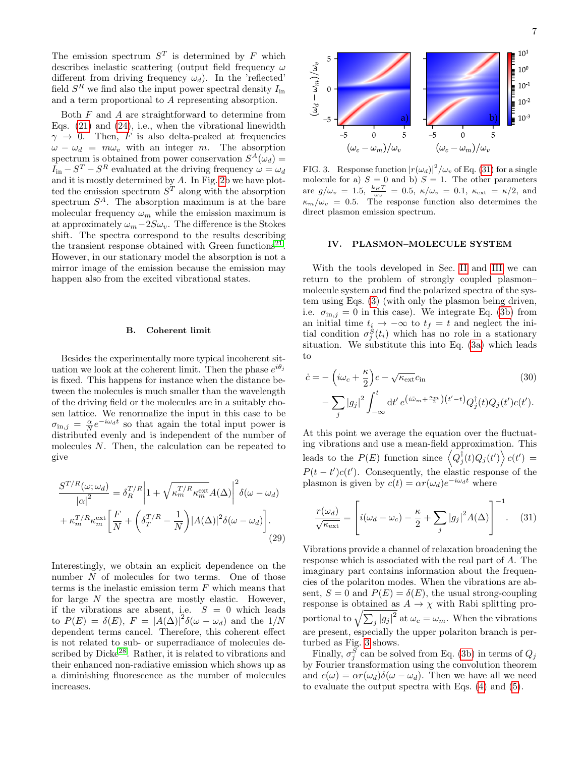The emission spectrum  $S<sup>T</sup>$  is determined by F which describes inelastic scattering (output field frequency  $\omega$ different from driving frequency  $\omega_d$ ). In the 'reflected' field  $S<sup>R</sup>$  we find also the input power spectral density  $I_{\text{in}}$ and a term proportional to A representing absorption.

Both  $F$  and  $A$  are straightforward to determine from Eqs.  $(21)$  and  $(24)$ , i.e., when the vibrational linewidth  $\gamma \rightarrow 0$ . Then, F is also delta-peaked at frequencies  $\omega - \omega_d = m \omega_v$  with an integer m. The absorption spectrum is obtained from power conservation  $S^A(\omega_d)$  =  $I_{\text{in}} - S^{T} - S^{R}$  evaluated at the driving frequency  $\omega = \omega_{d}$ and it is mostly determined by A. In Fig. [2b](#page-5-1) we have plotted the emission spectrum  $S<sup>T</sup>$  along with the absorption spectrum  $S^A$ . The absorption maximum is at the bare molecular frequency  $\omega_m$  while the emission maximum is at approximately  $\omega_m-2S\omega_v$ . The difference is the Stokes shift. The spectra correspond to the results describing the transient response obtained with Green functions<sup>[21](#page-12-10)</sup>. However, in our stationary model the absorption is not a mirror image of the emission because the emission may happen also from the excited vibrational states.

## B. Coherent limit

Besides the experimentally more typical incoherent situation we look at the coherent limit. Then the phase  $e^{i\theta_j}$ is fixed. This happens for instance when the distance between the molecules is much smaller than the wavelength of the driving field or the molecules are in a suitably chosen lattice. We renormalize the input in this case to be  $\sigma_{\text{in},j} = \frac{\alpha}{N} e^{-i\omega_d t}$  so that again the total input power is distributed evenly and is independent of the number of molecules N. Then, the calculation can be repeated to give

$$
\frac{S^{T/R}(\omega;\omega_d)}{|\alpha|^2} = \delta_R^{T/R} \left| 1 + \sqrt{\kappa_m^{T/R} \kappa_m^{\text{ext}}} A(\Delta) \right|^2 \delta(\omega - \omega_d)
$$

$$
+ \kappa_m^{T/R} \kappa_m^{\text{ext}} \left[ \frac{F}{N} + \left( \delta_T^{T/R} - \frac{1}{N} \right) |A(\Delta)|^2 \delta(\omega - \omega_d) \right].
$$
\n(29)

Interestingly, we obtain an explicit dependence on the number N of molecules for two terms. One of those terms is the inelastic emission term  $F$  which means that for large  $N$  the spectra are mostly elastic. However, if the vibrations are absent, i.e.  $S = 0$  which leads to  $P(E) = \delta(E)$ ,  $F = |A(\Delta)|^2 \delta(\omega - \omega_d)$  and the  $1/N$ dependent terms cancel. Therefore, this coherent effect is not related to sub- or superradiance of molecules de-scribed by Dicke<sup>[28](#page-12-13)</sup>. Rather, it is related to vibrations and their enhanced non-radiative emission which shows up as a diminishing fluorescence as the number of molecules increases.



<span id="page-6-1"></span>FIG. 3. Response function  $|r(\omega_d)|^2/\omega_v$  of Eq. [\(31\)](#page-6-0) for a single molecule for a)  $S = 0$  and b)  $S = 1$ . The other parameters are  $g/\omega_v = 1.5$ ,  $\frac{k_B T}{\omega_v} = 0.5$ ,  $\kappa/\omega_v = 0.1$ ,  $\kappa_{\text{ext}} = \kappa/2$ , and  $\kappa_m/\omega_v = 0.5$ . The response function also determines the direct plasmon emission spectrum.

## IV. PLASMON–MOLECULE SYSTEM

With the tools developed in Sec. [II](#page-2-3) and [III](#page-5-2) we can return to the problem of strongly coupled plasmon– molecule system and find the polarized spectra of the system using Eqs. [\(3\)](#page-2-0) (with only the plasmon being driven, i.e.  $\sigma_{\text{in},j} = 0$  in this case). We integrate Eq. [\(3b\)](#page-2-1) from an initial time  $t_i \rightarrow -\infty$  to  $t_f = t$  and neglect the initial condition  $\sigma_j^S(t_i)$  which has no role in a stationary situation. We substitute this into Eq. [\(3a\)](#page-2-4) which leads to

$$
\dot{c} = -\left(i\omega_c + \frac{\kappa}{2}\right)c - \sqrt{\kappa_{\text{ext}}}c_{\text{in}}\tag{30}
$$
\n
$$
-\sum_j |g_j|^2 \int_{-\infty}^t dt' e^{(i\tilde{\omega}_m + \frac{\kappa_m}{2})\left(t'-t\right)} Q_j^{\dagger}(t) Q_j(t') c(t').
$$

At this point we average the equation over the fluctuating vibrations and use a mean-field approximation. This leads to the  $P(E)$  function since  $\left\langle Q_j^{\dagger}(t)Q_j(t')\right\rangle c(t')$  $P(t-t')c(t')$ . Consequently, the elastic response of the plasmon is given by  $c(t) = \alpha r(\omega_d) e^{-i\omega_d t}$  where

<span id="page-6-0"></span>
$$
\frac{r(\omega_d)}{\sqrt{\kappa_{\text{ext}}}} = \left[ i(\omega_d - \omega_c) - \frac{\kappa}{2} + \sum_j |g_j|^2 A(\Delta) \right]^{-1}.
$$
 (31)

Vibrations provide a channel of relaxation broadening the response which is associated with the real part of A. The imaginary part contains information about the frequencies of the polariton modes. When the vibrations are absent,  $S = 0$  and  $P(E) = \delta(E)$ , the usual strong-coupling response is obtained as  $A \to \chi$  with Rabi splitting proportional to  $\sqrt{\sum_j |g_j|^2}$  at  $\omega_c = \omega_m$ . When the vibrations are present, especially the upper polariton branch is perturbed as Fig. [3](#page-6-1) shows.

Finally,  $\sigma_j^S$  can be solved from Eq. [\(3b\)](#page-2-1) in terms of  $Q_j$ by Fourier transformation using the convolution theorem and  $c(\omega) = \alpha r(\omega_d) \delta(\omega - \omega_d)$ . Then we have all we need to evaluate the output spectra with Eqs. [\(4\)](#page-2-5) and [\(5\)](#page-2-2).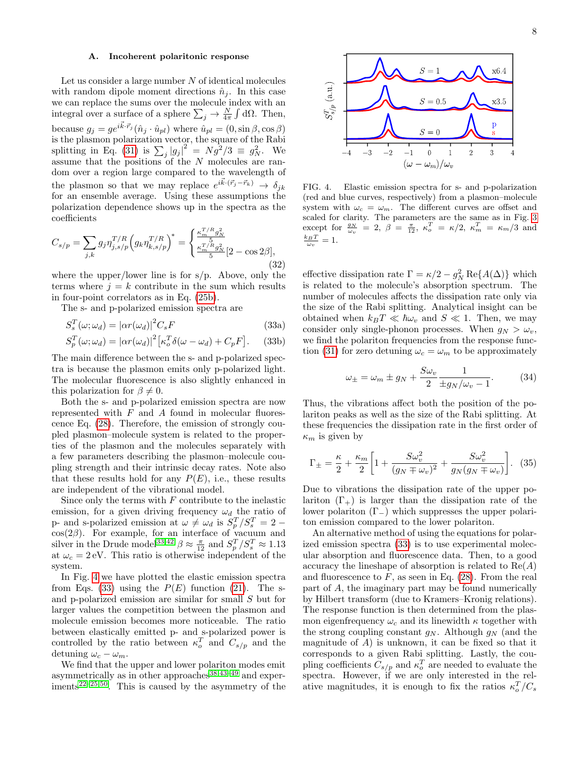## A. Incoherent polaritonic response

Let us consider a large number  $N$  of identical molecules with random dipole moment directions  $\hat{n}_i$ . In this case we can replace the sums over the molecule index with an integral over a surface of a sphere  $\sum_j \to \frac{N}{4\pi} \int d\Omega$ . Then, because  $g_j = ge^{ik \cdot \vec{r}_j}(\hat{n}_j \cdot \hat{u}_{pl})$  where  $\hat{u}_{pl} = (0, \sin \beta, \cos \beta)$ is the plasmon polarization vector, the square of the Rabi splitting in Eq. [\(31\)](#page-6-0) is  $\sum_j |g_j|^2 = N \dot{g}^2/3 \equiv g_N^2$ . We assume that the positions of the  $N$  molecules are random over a region large compared to the wavelength of the plasmon so that we may replace  $e^{i\vec{k}\cdot(\vec{r}_j-\vec{r}_k)} \rightarrow \delta_{jk}$ for an ensemble average. Using these assumptions the polarization dependence shows up in the spectra as the coefficients

$$
C_{s/p} = \sum_{j,k} g_j \eta_{j,s/p}^{T/R} \left( g_k \eta_{k,s/p}^{T/R} \right)^* = \begin{cases} \frac{\kappa_m^{T/R} g_N^2}{5} \\ \frac{\kappa_m^{T/R} g_N^2}{5} [2 - \cos 2\beta], \end{cases}
$$
(32)

where the upper/lower line is for s/p. Above, only the terms where  $j = k$  contribute in the sum which results in four-point correlators as in Eq. [\(25b\)](#page-5-3).

The s- and p-polarized emission spectra are

$$
S_s^T(\omega; \omega_d) = |\alpha r(\omega_d)|^2 C_s F \tag{33a}
$$

$$
S_p^T(\omega; \omega_d) = |\alpha r(\omega_d)|^2 \left[ \kappa_o^T \delta(\omega - \omega_d) + C_p F \right].
$$
 (33b)

The main difference between the s- and p-polarized spectra is because the plasmon emits only p-polarized light. The molecular fluorescence is also slightly enhanced in this polarization for  $\beta \neq 0$ .

Both the s- and p-polarized emission spectra are now represented with  $F$  and  $A$  found in molecular fluorescence Eq. [\(28\)](#page-5-4). Therefore, the emission of strongly coupled plasmon–molecule system is related to the properties of the plasmon and the molecules separately with a few parameters describing the plasmon–molecule coupling strength and their intrinsic decay rates. Note also that these results hold for any  $P(E)$ , i.e., these results are independent of the vibrational model.

Since only the terms with  $F$  contribute to the inelastic emission, for a given driving frequency  $\omega_d$  the ratio of p- and s-polarized emission at  $\omega \neq \omega_d$  is  $S_p^T/S_s^T = 2$  $cos(2\beta)$ . For example, for an interface of vacuum and silver in the Drude model<sup>[33,](#page-12-19)[42](#page-12-28)</sup>  $\beta \approx \frac{\pi}{12}$  and  $S_p^T/S_s^T \approx 1.13$ at  $\omega_c = 2$  eV. This ratio is otherwise independent of the system.

In Fig. [4](#page-7-0) we have plotted the elastic emission spectra from Eqs. [\(33\)](#page-7-1) using the  $P(E)$  function [\(21\)](#page-4-3). The sand p-polarized emission are similar for small S but for larger values the competition between the plasmon and molecule emission becomes more noticeable. The ratio between elastically emitted p- and s-polarized power is controlled by the ratio between  $\kappa_o^T$  and  $C_{s/p}$  and the detuning  $\omega_c - \omega_m$ .

We find that the upper and lower polariton modes emit asymmetrically as in other approaches  $38,43-49$  $38,43-49$  $38,43-49$  and exper- $iments<sup>22–25,50</sup>$  $iments<sup>22–25,50</sup>$  $iments<sup>22–25,50</sup>$  $iments<sup>22–25,50</sup>$  $iments<sup>22–25,50</sup>$ . This is caused by the asymmetry of the



<span id="page-7-0"></span>FIG. 4. Elastic emission spectra for s- and p-polarization (red and blue curves, respectively) from a plasmon–molecule system with  $\omega_c = \omega_m$ . The different curves are offset and scaled for clarity. The parameters are the same as in Fig. [3](#page-6-1) except for  $\frac{g_N}{\omega_v} = 2$ ,  $\beta = \frac{\pi}{12}$ ,  $\kappa_o^T = \kappa/2$ ,  $\kappa_m^T = \kappa_m/3$  and  $\frac{k_B T}{\omega_v} = 1.$ 

<span id="page-7-1"></span>effective dissipation rate  $\Gamma = \kappa/2 - g_N^2 \operatorname{Re}\{A(\Delta)\}\)$  which is related to the molecule's absorption spectrum. The number of molecules affects the dissipation rate only via the size of the Rabi splitting. Analytical insight can be obtained when  $k_BT \ll \hbar\omega_v$  and  $S \ll 1$ . Then, we may consider only single-phonon processes. When  $g_N > \omega_v$ , we find the polariton frequencies from the response func-tion [\(31\)](#page-6-0) for zero detuning  $\omega_c = \omega_m$  to be approximately

$$
\omega_{\pm} = \omega_m \pm g_N + \frac{S\omega_v}{2} \frac{1}{\pm g_N/\omega_v - 1}.
$$
 (34)

Thus, the vibrations affect both the position of the polariton peaks as well as the size of the Rabi splitting. At these frequencies the dissipation rate in the first order of  $\kappa_m$  is given by

$$
\Gamma_{\pm} = \frac{\kappa}{2} + \frac{\kappa_m}{2} \left[ 1 + \frac{S \omega_v^2}{(g_N \mp \omega_v)^2} + \frac{S \omega_v^2}{g_N (g_N \mp \omega_v)} \right]. \tag{35}
$$

Due to vibrations the dissipation rate of the upper polariton  $(\Gamma_+)$  is larger than the dissipation rate of the lower polariton (Γ−) which suppresses the upper polariton emission compared to the lower polariton.

An alternative method of using the equations for polarized emission spectra [\(33\)](#page-7-1) is to use experimental molecular absorption and fluorescence data. Then, to a good accuracy the lineshape of absorption is related to  $Re(A)$ and fluorescence to  $F$ , as seen in Eq. [\(28\)](#page-5-4). From the real part of A, the imaginary part may be found numerically by Hilbert transform (due to Kramers–Kronig relations). The response function is then determined from the plasmon eigenfrequency  $\omega_c$  and its linewidth  $\kappa$  together with the strong coupling constant  $g_N$ . Although  $g_N$  (and the magnitude of  $A$ ) is unknown, it can be fixed so that it corresponds to a given Rabi splitting. Lastly, the coupling coefficients  $C_{s/p}$  and  $\kappa_o^T$  are needed to evaluate the spectra. However, if we are only interested in the relative magnitudes, it is enough to fix the ratios  $\kappa_o^T/C_s$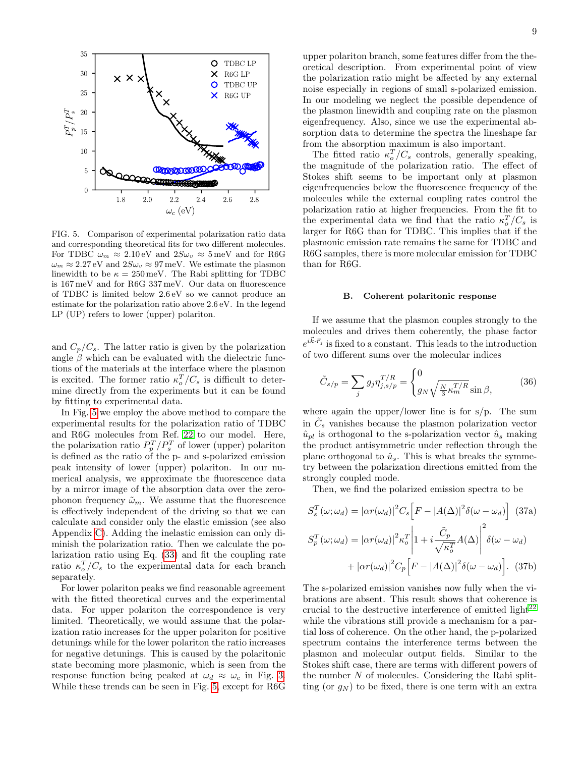

<span id="page-8-0"></span>FIG. 5. Comparison of experimental polarization ratio data and corresponding theoretical fits for two different molecules. For TDBC  $\omega_m \approx 2.10 \text{ eV}$  and  $2S\omega_v \approx 5 \text{ meV}$  and for R6G  $\omega_m \approx 2.27 \,\text{eV}$  and  $2S\omega_v \approx 97 \,\text{meV}$ . We estimate the plasmon linewidth to be  $\kappa = 250 \,\text{meV}$ . The Rabi splitting for TDBC is 167 meV and for R6G 337 meV. Our data on fluorescence of TDBC is limited below 2.6 eV so we cannot produce an estimate for the polarization ratio above 2.6 eV. In the legend LP (UP) refers to lower (upper) polariton.

and  $C_p/C_s$ . The latter ratio is given by the polarization angle  $\beta$  which can be evaluated with the dielectric functions of the materials at the interface where the plasmon is excited. The former ratio  $\kappa_o^T/C_s$  is difficult to determine directly from the experiments but it can be found by fitting to experimental data.

In Fig. [5](#page-8-0) we employ the above method to compare the experimental results for the polarization ratio of TDBC and R6G molecules from Ref. [22](#page-12-11) to our model. Here, the polarization ratio  $P_p^T/P_s^T$  of lower (upper) polariton is defined as the ratio of the p- and s-polarized emission peak intensity of lower (upper) polariton. In our numerical analysis, we approximate the fluorescence data by a mirror image of the absorption data over the zerophonon frequency  $\tilde{\omega}_m$ . We assume that the fluorescence is effectively independent of the driving so that we can calculate and consider only the elastic emission (see also Appendix [C\)](#page-11-10). Adding the inelastic emission can only diminish the polarization ratio. Then we calculate the polarization ratio using Eq. [\(33\)](#page-7-1) and fit the coupling rate ratio  $\kappa_o^T/C_s$  to the experimental data for each branch separately.

For lower polariton peaks we find reasonable agreement with the fitted theoretical curves and the experimental data. For upper polariton the correspondence is very limited. Theoretically, we would assume that the polarization ratio increases for the upper polariton for positive detunings while for the lower polariton the ratio increases for negative detunings. This is caused by the polaritonic state becoming more plasmonic, which is seen from the response function being peaked at  $\omega_d \approx \omega_c$  in Fig. [3.](#page-6-1) While these trends can be seen in Fig. [5,](#page-8-0) except for R6G

upper polariton branch, some features differ from the theoretical description. From experimental point of view the polarization ratio might be affected by any external noise especially in regions of small s-polarized emission. In our modeling we neglect the possible dependence of the plasmon linewidth and coupling rate on the plasmon eigenfrequency. Also, since we use the experimental absorption data to determine the spectra the lineshape far from the absorption maximum is also important.

The fitted ratio  $\kappa_o^T/C_s$  controls, generally speaking, the magnitude of the polarization ratio. The effect of Stokes shift seems to be important only at plasmon eigenfrequencies below the fluorescence frequency of the molecules while the external coupling rates control the polarization ratio at higher frequencies. From the fit to the experimental data we find that the ratio  $\kappa_o^T/C_s$  is larger for R6G than for TDBC. This implies that if the plasmonic emission rate remains the same for TDBC and R6G samples, there is more molecular emission for TDBC than for R6G.

#### B. Coherent polaritonic response

If we assume that the plasmon couples strongly to the molecules and drives them coherently, the phase factor  $e^{i\vec{k}\cdot\vec{r}_j}$  is fixed to a constant. This leads to the introduction of two different sums over the molecular indices

$$
\tilde{C}_{s/p} = \sum_{j} g_j \eta_{j,s/p}^{T/R} = \begin{cases} 0\\ g_N \sqrt{\frac{N}{3} \kappa_m^{T/R}} \sin \beta, \end{cases}
$$
 (36)

where again the upper/lower line is for  $s/p$ . The sum in  $\tilde{C}_s$  vanishes because the plasmon polarization vector  $\hat{u}_{pl}$  is orthogonal to the s-polarization vector  $\hat{u}_s$  making the product antisymmetric under reflection through the plane orthogonal to  $\hat{u}_s$ . This is what breaks the symmetry between the polarization directions emitted from the strongly coupled mode.

Then, we find the polarized emission spectra to be

$$
S_s^T(\omega; \omega_d) = |\alpha r(\omega_d)|^2 C_s \Big[ F - |A(\Delta)|^2 \delta(\omega - \omega_d) \Big] \tag{37a}
$$

$$
S_p^T(\omega; \omega_d) = |\alpha r(\omega_d)|^2 \kappa_o^T \Big| 1 + i \frac{\tilde{C}_p}{\sqrt{\kappa_o^T}} A(\Delta) \Big|^2 \delta(\omega - \omega_d)
$$

$$
+ |\alpha r(\omega_d)|^2 C_p \Big[ F - |A(\Delta)|^2 \delta(\omega - \omega_d) \Big]. \tag{37b}
$$

The s-polarized emission vanishes now fully when the vibrations are absent. This result shows that coherence is crucial to the destructive interference of emitted light<sup>[22](#page-12-11)</sup> while the vibrations still provide a mechanism for a partial loss of coherence. On the other hand, the p-polarized spectrum contains the interference terms between the plasmon and molecular output fields. Similar to the Stokes shift case, there are terms with different powers of the number  $N$  of molecules. Considering the Rabi splitting (or  $g_N$ ) to be fixed, there is one term with an extra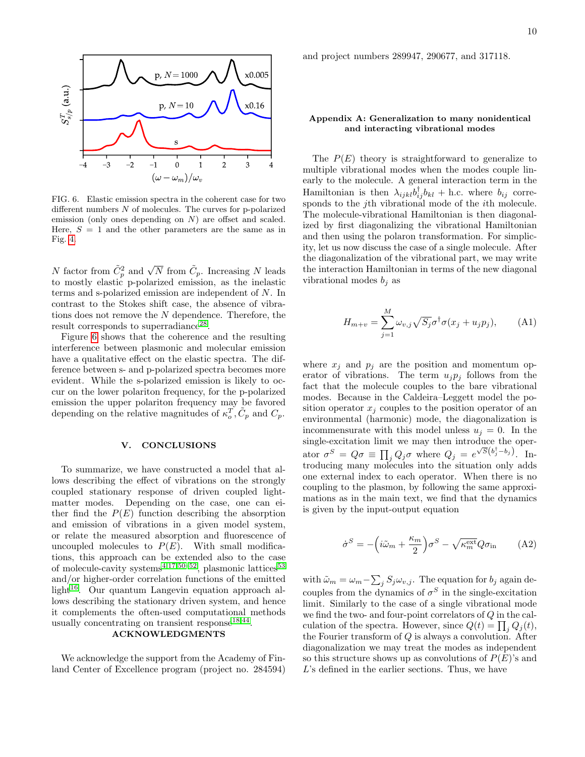

<span id="page-9-1"></span>FIG. 6. Elastic emission spectra in the coherent case for two different numbers  $N$  of molecules. The curves for p-polarized emission (only ones depending on N) are offset and scaled. Here,  $S = 1$  and the other parameters are the same as in Fig. [4.](#page-7-0)

N factor from  $\tilde{C}_p^2$  and  $\sqrt{N}$  from  $\tilde{C}_p$ . Increasing N leads to mostly elastic p-polarized emission, as the inelastic terms and s-polarized emission are independent of N. In contrast to the Stokes shift case, the absence of vibrations does not remove the N dependence. Therefore, the result corresponds to superradiance<sup>[28](#page-12-13)</sup>.

Figure [6](#page-9-1) shows that the coherence and the resulting interference between plasmonic and molecular emission have a qualitative effect on the elastic spectra. The difference between s- and p-polarized spectra becomes more evident. While the s-polarized emission is likely to occur on the lower polariton frequency, for the p-polarized emission the upper polariton frequency may be favored depending on the relative magnitudes of  $\kappa_o^T$ ,  $\tilde{C}_p$  and  $C_p$ .

#### V. CONCLUSIONS

To summarize, we have constructed a model that allows describing the effect of vibrations on the strongly coupled stationary response of driven coupled lightmatter modes. Depending on the case, one can either find the  $P(E)$  function describing the absorption and emission of vibrations in a given model system, or relate the measured absorption and fluorescence of uncoupled molecules to  $P(E)$ . With small modifications, this approach can be extended also to the case of molecule-cavity systems<sup>[4,](#page-11-3)[17,](#page-12-6)[50](#page-12-32)[–52](#page-12-33)</sup>, plasmonic lattices<sup>[53](#page-12-34)</sup> and/or higher-order correlation functions of the emitted  $light^{16}$  $light^{16}$  $light^{16}$ . Our quantum Langevin equation approach allows describing the stationary driven system, and hence it complements the often-used computational methods usually concentrating on transient response  $^{18,44}$  $^{18,44}$  $^{18,44}$  $^{18,44}$ .

# ACKNOWLEDGMENTS

We acknowledge the support from the Academy of Finland Center of Excellence program (project no. 284594) and project numbers 289947, 290677, and 317118.

## <span id="page-9-0"></span>Appendix A: Generalization to many nonidentical and interacting vibrational modes

The  $P(E)$  theory is straightforward to generalize to multiple vibrational modes when the modes couple linearly to the molecule. A general interaction term in the Hamiltonian is then  $\lambda_{ijkl} b_{ij}^{\dagger} b_{kl} +$  h.c. where  $b_{ij}$  corresponds to the j<sup>th</sup> vibrational mode of the *i*<sup>th</sup> molecule. The molecule-vibrational Hamiltonian is then diagonalized by first diagonalizing the vibrational Hamiltonian and then using the polaron transformation. For simplicity, let us now discuss the case of a single molecule. After the diagonalization of the vibrational part, we may write the interaction Hamiltonian in terms of the new diagonal vibrational modes  $b_i$  as

$$
H_{m+v} = \sum_{j=1}^{M} \omega_{v,j} \sqrt{S_j} \sigma^{\dagger} \sigma(x_j + u_j p_j), \quad (A1)
$$

where  $x_i$  and  $p_i$  are the position and momentum operator of vibrations. The term  $u_i p_i$  follows from the fact that the molecule couples to the bare vibrational modes. Because in the Caldeira–Leggett model the position operator  $x_j$  couples to the position operator of an environmental (harmonic) mode, the diagonalization is incommensurate with this model unless  $u_j = 0$ . In the single-excitation limit we may then introduce the operator  $\sigma^S = Q\sigma \equiv \prod_j Q_j\sigma$  where  $Q_j = e^{\sqrt{S}(b_j^{\dagger}-b_j)}$ . Introducing many molecules into the situation only adds one external index to each operator. When there is no coupling to the plasmon, by following the same approximations as in the main text, we find that the dynamics is given by the input-output equation

$$
\dot{\sigma}^S = -\left(i\tilde{\omega}_m + \frac{\kappa_m}{2}\right)\sigma^S - \sqrt{\kappa_m^{\text{ext}}}Q\sigma_{\text{in}} \tag{A2}
$$

with  $\tilde{\omega}_m = \omega_m - \sum_j S_j \omega_{v,j}$ . The equation for  $b_j$  again decouples from the dynamics of  $\sigma^S$  in the single-excitation limit. Similarly to the case of a single vibrational mode we find the two- and four-point correlators of Q in the calculation of the spectra. However, since  $Q(t) = \prod_j Q_j(t)$ , the Fourier transform of  $Q$  is always a convolution. After diagonalization we may treat the modes as independent so this structure shows up as convolutions of  $P(E)$ 's and L's defined in the earlier sections. Thus, we have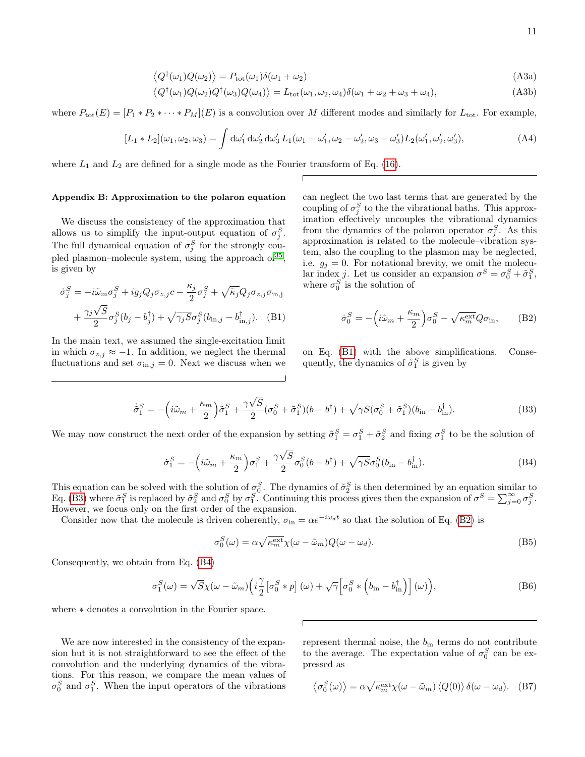$$
\langle Q^{\dagger}(\omega_1)Q(\omega_2)\rangle = P_{\text{tot}}(\omega_1)\delta(\omega_1 + \omega_2)
$$
\n(A3a)

$$
\langle Q^{\dagger}(\omega_1)Q(\omega_2)Q^{\dagger}(\omega_3)Q(\omega_4)\rangle = L_{\text{tot}}(\omega_1, \omega_2, \omega_4)\delta(\omega_1 + \omega_2 + \omega_3 + \omega_4),\tag{A3b}
$$

where  $P_{\text{tot}}(E) = [P_1 * P_2 * \cdots * P_M](E)$  is a convolution over M different modes and similarly for  $L_{\text{tot}}$ . For example,

$$
[L_1 * L_2](\omega_1, \omega_2, \omega_3) = \int d\omega'_1 d\omega'_2 d\omega'_3 L_1(\omega_1 - \omega'_1, \omega_2 - \omega'_2, \omega_3 - \omega'_3) L_2(\omega'_1, \omega'_2, \omega'_3),
$$
 (A4)

where  $L_1$  and  $L_2$  are defined for a single mode as the Fourier transform of Eq. [\(16\)](#page-4-0).

#### <span id="page-10-0"></span>Appendix B: Approximation to the polaron equation

We discuss the consistency of the approximation that allows us to simplify the input-output equation of  $\sigma_j^S$ . The full dynamical equation of  $\sigma_j^S$  for the strongly cou-pled plasmon–molecule system, using the approach of <sup>[35](#page-12-21)</sup>, is given by

$$
\dot{\sigma}_j^S = -i\tilde{\omega}_m \sigma_j^S + ig_j Q_j \sigma_{z,j} c - \frac{\kappa_j}{2} \sigma_j^S + \sqrt{\tilde{\kappa}_j} Q_j \sigma_{z,j} \sigma_{\text{in},j} + \frac{\gamma_j \sqrt{S}}{2} \sigma_j^S (b_j - b_j^{\dagger}) + \sqrt{\gamma_j S} \sigma_j^S (b_{\text{in},j} - b_{\text{in},j}^{\dagger}).
$$
 (B1)

In the main text, we assumed the single-excitation limit in which  $\sigma_{z,j} \approx -1$ . In addition, we neglect the thermal fluctuations and set  $\sigma_{\text{in},j} = 0$ . Next we discuss when we can neglect the two last terms that are generated by the coupling of  $\sigma_j^S$  to the the vibrational baths. This approximation effectively uncouples the vibrational dynamics from the dynamics of the polaron operator  $\sigma_j^S$ . As this approximation is related to the molecule–vibration system, also the coupling to the plasmon may be neglected, i.e.  $g_j = 0$ . For notational brevity, we omit the molecular index *j*. Let us consider an expansion  $\sigma^S = \sigma_0^S + \tilde{\sigma}_1^S$ , where  $\sigma_0^S$  is the solution of

<span id="page-10-3"></span>
$$
\dot{\sigma}_0^S = -\left(i\tilde{\omega}_m + \frac{\kappa_m}{2}\right)\sigma_0^S - \sqrt{\kappa_m^{\text{ext}}}Q\sigma_{\text{in}},\qquad(B2)
$$

<span id="page-10-1"></span>on Eq. [\(B1\)](#page-10-1) with the above simplifications. Consequently, the dynamics of  $\tilde{\sigma}_1^S$  is given by

<span id="page-10-2"></span>
$$
\dot{\tilde{\sigma}}_1^S = -\left(i\tilde{\omega}_m + \frac{\kappa_m}{2}\right)\tilde{\sigma}_1^S + \frac{\gamma\sqrt{S}}{2}(\sigma_0^S + \tilde{\sigma}_1^S)(b - b^{\dagger}) + \sqrt{\gamma S}(\sigma_0^S + \tilde{\sigma}_1^S)(b_{\rm in} - b_{\rm in}^{\dagger}).\tag{B3}
$$

We may now construct the next order of the expansion by setting  $\tilde{\sigma}_1^S = \sigma_1^S + \tilde{\sigma}_2^S$  and fixing  $\sigma_1^S$  to be the solution of

<span id="page-10-4"></span>
$$
\dot{\sigma}_1^S = -\left(i\tilde{\omega}_m + \frac{\kappa_m}{2}\right)\sigma_1^S + \frac{\gamma\sqrt{S}}{2}\sigma_0^S(b - b^{\dagger}) + \sqrt{\gamma S}\sigma_0^S(b_{\rm in} - b_{\rm in}^{\dagger}).\tag{B4}
$$

This equation can be solved with the solution of  $\sigma_0^S$ . The dynamics of  $\tilde{\sigma}_2^S$  is then determined by an equation similar to Eq. [\(B3\)](#page-10-2) where  $\tilde{\sigma}_1^S$  is replaced by  $\tilde{\sigma}_2^S$  and  $\sigma_0^S$  by  $\sigma_1^S$ . Continuing this process gives then the expansion of  $\sigma^S = \sum_{j=0}^{\infty} \sigma_j^S$ . However, we focus only on the first order of the expansion.

Consider now that the molecule is driven coherently,  $\sigma_{\text{in}} = \alpha e^{-i\omega_d t}$  so that the solution of Eq. [\(B2\)](#page-10-3) is

$$
\sigma_0^S(\omega) = \alpha \sqrt{\kappa_m^{\text{ext}}} \chi(\omega - \tilde{\omega}_m) Q(\omega - \omega_d). \tag{B5}
$$

Consequently, we obtain from Eq. [\(B4\)](#page-10-4)

$$
\sigma_1^S(\omega) = \sqrt{S}\chi(\omega - \tilde{\omega}_m) \left( i \frac{\gamma}{2} \left[ \sigma_0^S * p \right](\omega) + \sqrt{\gamma} \left[ \sigma_0^S * \left( b_{\rm in} - b_{\rm in}^{\dagger} \right) \right](\omega) \right),\tag{B6}
$$

where ∗ denotes a convolution in the Fourier space.

We are now interested in the consistency of the expansion but it is not straightforward to see the effect of the convolution and the underlying dynamics of the vibrations. For this reason, we compare the mean values of  $\sigma_0^S$  and  $\sigma_1^S$ . When the input operators of the vibrations

represent thermal noise, the  $b_{\rm in}$  terms do not contribute to the average. The expectation value of  $\sigma_0^S$  can be expressed as

$$
\langle \sigma_0^S(\omega) \rangle = \alpha \sqrt{\kappa_m^{\text{ext}}} \chi(\omega - \tilde{\omega}_m) \langle Q(0) \rangle \, \delta(\omega - \omega_d). \tag{B7}
$$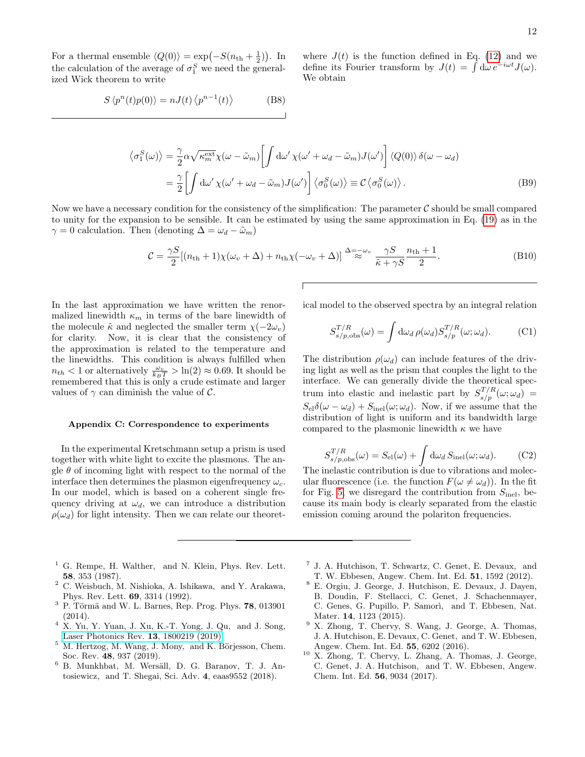For a thermal ensemble  $\langle Q(0) \rangle = \exp(-S(n_{\text{th}} + \frac{1}{2}))$ . In the calculation of the average of  $\sigma_1^S$  we need the generalized Wick theorem to write

$$
S \langle p^n(t)p(0) \rangle = nJ(t) \langle p^{n-1}(t) \rangle \tag{B8}
$$

where  $J(t)$  is the function defined in Eq. [\(12\)](#page-3-5) and we define its Fourier transform by  $J(t) = \int d\omega e^{-i\omega t} J(\omega)$ . We obtain

$$
\langle \sigma_1^S(\omega) \rangle = \frac{\gamma}{2} \alpha \sqrt{\kappa_m^{\text{ext}}} \chi(\omega - \tilde{\omega}_m) \left[ \int d\omega' \chi(\omega' + \omega_d - \tilde{\omega}_m) J(\omega') \right] \langle Q(0) \rangle \delta(\omega - \omega_d)
$$
  

$$
= \frac{\gamma}{2} \left[ \int d\omega' \chi(\omega' + \omega_d - \tilde{\omega}_m) J(\omega') \right] \langle \sigma_0^S(\omega) \rangle \equiv \mathcal{C} \langle \sigma_0^S(\omega) \rangle.
$$
 (B9)

Now we have a necessary condition for the consistency of the simplification: The parameter  $\mathcal C$  should be small compared to unity for the expansion to be sensible. It can be estimated by using the same approximation in Eq. [\(19\)](#page-4-5) as in the  $\gamma = 0$  calculation. Then (denoting  $\Delta = \omega_d - \tilde{\omega}_m$ )

$$
C = \frac{\gamma S}{2} [(n_{\rm th} + 1)\chi(\omega_v + \Delta) + n_{\rm th}\chi(-\omega_v + \Delta)] \stackrel{\Delta = -\omega_v}{\approx} \frac{\gamma S}{\tilde{\kappa} + \gamma S} \frac{n_{\rm th} + 1}{2}.
$$
 (B10)

In the last approximation we have written the renormalized linewidth  $\kappa_m$  in terms of the bare linewidth of the molecule  $\tilde{\kappa}$  and neglected the smaller term  $\chi(-2\omega_v)$ for clarity. Now, it is clear that the consistency of the approximation is related to the temperature and the linewidths. This condition is always fulfilled when  $n_{th} < 1$  or alternatively  $\frac{\omega_v}{k_B T} > \ln(2) \approx 0.69$ . It should be remembered that this is only a crude estimate and larger values of  $\gamma$  can diminish the value of C.

## <span id="page-11-10"></span>Appendix C: Correspondence to experiments

In the experimental Kretschmann setup a prism is used together with white light to excite the plasmons. The angle  $\theta$  of incoming light with respect to the normal of the interface then determines the plasmon eigenfrequency  $\omega_c$ . In our model, which is based on a coherent single frequency driving at  $\omega_d$ , we can introduce a distribution  $\rho(\omega_d)$  for light intensity. Then we can relate our theoretical model to the observed spectra by an integral relation

$$
S_{s/p,obs}^{T/R}(\omega) = \int d\omega_d \,\rho(\omega_d) S_{s/p}^{T/R}(\omega; \omega_d). \tag{C1}
$$

The distribution  $\rho(\omega_d)$  can include features of the driving light as well as the prism that couples the light to the interface. We can generally divide the theoretical spectrum into elastic and inelastic part by  $S_{s/p}^{T/R}(\omega;\omega_d)$  =  $S_{\rm el}\delta(\omega-\omega_d) + S_{\rm inel}(\omega;\omega_d)$ . Now, if we assume that the distribution of light is uniform and its bandwidth large compared to the plasmonic linewidth  $\kappa$  we have

$$
S_{s/p,obs}^{T/R}(\omega) = S_{\text{el}}(\omega) + \int d\omega_d S_{\text{inel}}(\omega; \omega_d). \tag{C2}
$$

The inelastic contribution is due to vibrations and molecular fluorescence (i.e. the function  $F(\omega \neq \omega_d)$ ). In the fit for Fig. [5,](#page-8-0) we disregard the contribution from  $S_{\text{inel}}$ , because its main body is clearly separated from the elastic emission coming around the polariton frequencies.

- <span id="page-11-0"></span> $<sup>1</sup>$  G. Rempe, H. Walther, and N. Klein, Phys. Rev. Lett.</sup> 58, 353 (1987).
- <span id="page-11-1"></span><sup>2</sup> C. Weisbuch, M. Nishioka, A. Ishikawa, and Y. Arakawa, Phys. Rev. Lett. 69, 3314 (1992).
- <span id="page-11-2"></span> $3$  P. Törmä and W. L. Barnes, Rep. Prog. Phys. 78, 013901 (2014).
- <span id="page-11-3"></span>X. Yu, Y. Yuan, J. Xu, K.-T. Yong, J. Qu, and J. Song, [Laser Photonics Rev.](http://dx.doi.org/ 10.1002/lpor.201800219) 13, 1800219 (2019).
- <span id="page-11-4"></span> $5$  M. Hertzog, M. Wang, J. Mony, and K. Börjesson, Chem. Soc. Rev. 48, 937 (2019).
- <span id="page-11-5"></span> $6$  B. Munkhbat, M. Wersäll, D. G. Baranov, T. J. Antosiewicz, and T. Shegai, Sci. Adv. 4, eaas9552 (2018).
- <span id="page-11-6"></span>7 J. A. Hutchison, T. Schwartz, C. Genet, E. Devaux, and T. W. Ebbesen, Angew. Chem. Int. Ed. 51, 1592 (2012).
- <span id="page-11-7"></span><sup>8</sup> E. Orgiu, J. George, J. Hutchison, E. Devaux, J. Dayen, B. Doudin, F. Stellacci, C. Genet, J. Schachenmayer, C. Genes, G. Pupillo, P. Samorì, and T. Ebbesen, Nat. Mater. 14, 1123 (2015).
- <span id="page-11-8"></span><sup>9</sup> X. Zhong, T. Chervy, S. Wang, J. George, A. Thomas, J. A. Hutchison, E. Devaux, C. Genet, and T. W. Ebbesen, Angew. Chem. Int. Ed. 55, 6202 (2016).
- <span id="page-11-9"></span> $10\,$  X. Zhong, T. Chervy, L. Zhang, A. Thomas, J. George, C. Genet, J. A. Hutchison, and T. W. Ebbesen, Angew. Chem. Int. Ed. 56, 9034 (2017).